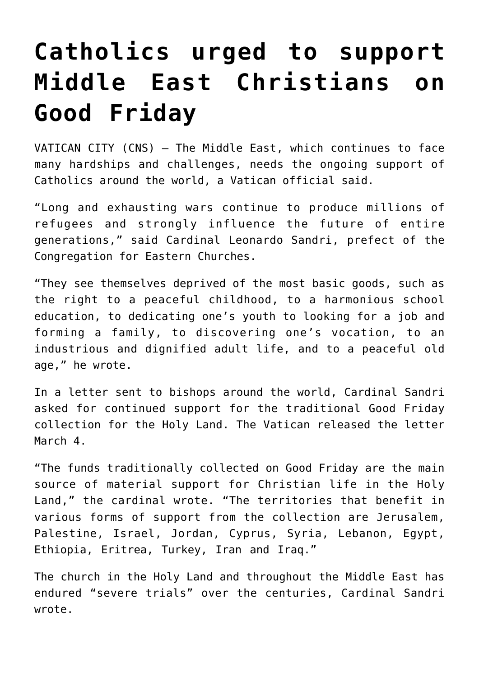## **[Catholics urged to support](https://www.osvnews.com/2020/03/04/catholics-urged-to-support-middle-east-christians-on-good-friday-2/) [Middle East Christians on](https://www.osvnews.com/2020/03/04/catholics-urged-to-support-middle-east-christians-on-good-friday-2/) [Good Friday](https://www.osvnews.com/2020/03/04/catholics-urged-to-support-middle-east-christians-on-good-friday-2/)**

VATICAN CITY (CNS) — The Middle East, which continues to face many hardships and challenges, needs the ongoing support of Catholics around the world, a Vatican official said.

"Long and exhausting wars continue to produce millions of refugees and strongly influence the future of entire generations," said Cardinal Leonardo Sandri, prefect of the Congregation for Eastern Churches.

"They see themselves deprived of the most basic goods, such as the right to a peaceful childhood, to a harmonious school education, to dedicating one's youth to looking for a job and forming a family, to discovering one's vocation, to an industrious and dignified adult life, and to a peaceful old age," he wrote.

In a letter sent to bishops around the world, Cardinal Sandri asked for continued support for the traditional Good Friday collection for the Holy Land. The Vatican released the letter March 4.

"The funds traditionally collected on Good Friday are the main source of material support for Christian life in the Holy Land," the cardinal wrote. "The territories that benefit in various forms of support from the collection are Jerusalem, Palestine, Israel, Jordan, Cyprus, Syria, Lebanon, Egypt, Ethiopia, Eritrea, Turkey, Iran and Iraq."

The church in the Holy Land and throughout the Middle East has endured "severe trials" over the centuries, Cardinal Sandri wrote.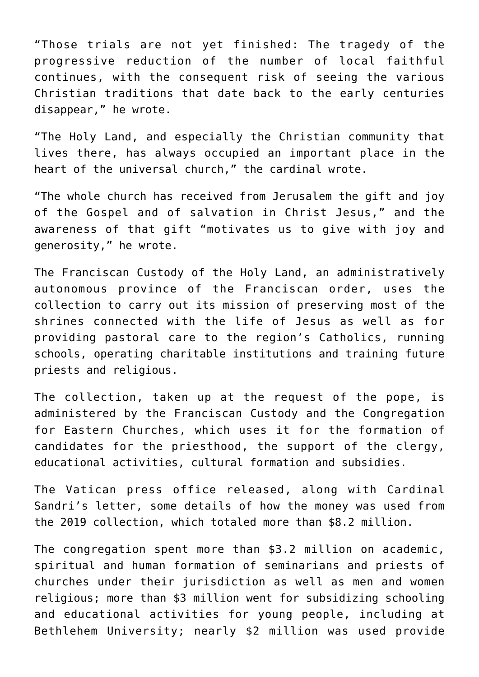"Those trials are not yet finished: The tragedy of the progressive reduction of the number of local faithful continues, with the consequent risk of seeing the various Christian traditions that date back to the early centuries disappear," he wrote.

"The Holy Land, and especially the Christian community that lives there, has always occupied an important place in the heart of the universal church," the cardinal wrote.

"The whole church has received from Jerusalem the gift and joy of the Gospel and of salvation in Christ Jesus," and the awareness of that gift "motivates us to give with joy and generosity," he wrote.

The Franciscan Custody of the Holy Land, an administratively autonomous province of the Franciscan order, uses the collection to carry out its mission of preserving most of the shrines connected with the life of Jesus as well as for providing pastoral care to the region's Catholics, running schools, operating charitable institutions and training future priests and religious.

The collection, taken up at the request of the pope, is administered by the Franciscan Custody and the Congregation for Eastern Churches, which uses it for the formation of candidates for the priesthood, the support of the clergy, educational activities, cultural formation and subsidies.

The Vatican press office released, along with Cardinal Sandri's letter, some details of how the money was used from the 2019 collection, which totaled more than \$8.2 million.

The congregation spent more than \$3.2 million on academic, spiritual and human formation of seminarians and priests of churches under their jurisdiction as well as men and women religious; more than \$3 million went for subsidizing schooling and educational activities for young people, including at Bethlehem University; nearly \$2 million was used provide